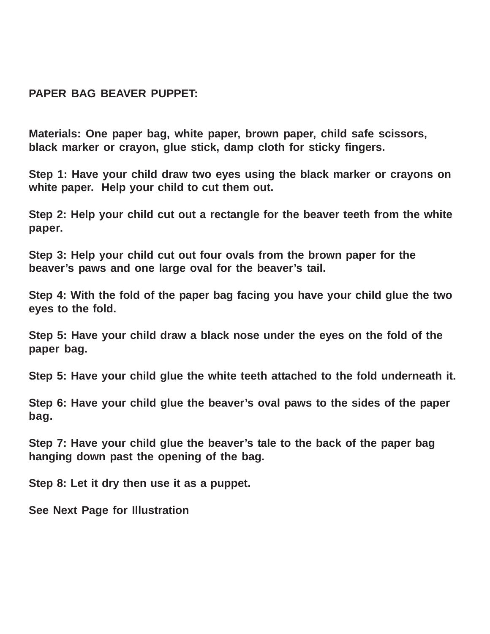## **PAPER BAG BEAVER PUPPET:**

**Materials: One paper bag, white paper, brown paper, child safe scissors, black marker or crayon, glue stick, damp cloth for sticky fingers.**

**Step 1: Have your child draw two eyes using the black marker or crayons on white paper. Help your child to cut them out.**

**Step 2: Help your child cut out a rectangle for the beaver teeth from the white paper.**

**Step 3: Help your child cut out four ovals from the brown paper for the beaver's paws and one large oval for the beaver's tail.**

**Step 4: With the fold of the paper bag facing you have your child glue the two eyes to the fold.**

**Step 5: Have your child draw a black nose under the eyes on the fold of the paper bag.**

**Step 5: Have your child glue the white teeth attached to the fold underneath it.**

**Step 6: Have your child glue the beaver's oval paws to the sides of the paper bag.**

**Step 7: Have your child glue the beaver's tale to the back of the paper bag hanging down past the opening of the bag.**

**Step 8: Let it dry then use it as a puppet.**

**See Next Page for Illustration**